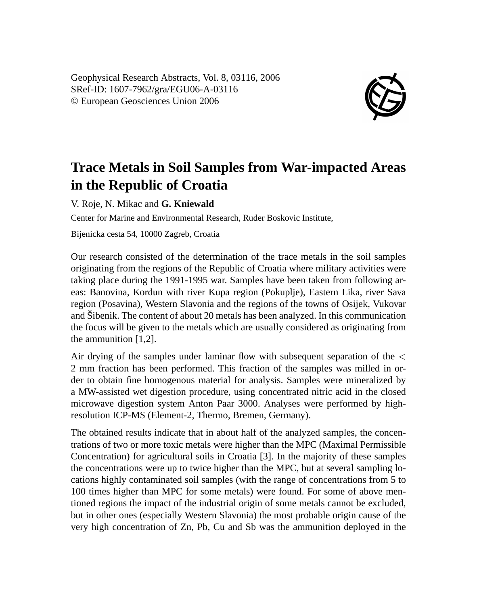Geophysical Research Abstracts, Vol. 8, 03116, 2006 SRef-ID: 1607-7962/gra/EGU06-A-03116 © European Geosciences Union 2006



## **Trace Metals in Soil Samples from War-impacted Areas in the Republic of Croatia**

V. Roje, N. Mikac and **G. Kniewald**

Center for Marine and Environmental Research, Ruder Boskovic Institute,

Bijenicka cesta 54, 10000 Zagreb, Croatia

Our research consisted of the determination of the trace metals in the soil samples originating from the regions of the Republic of Croatia where military activities were taking place during the 1991-1995 war. Samples have been taken from following areas: Banovina, Kordun with river Kupa region (Pokuplje), Eastern Lika, river Sava region (Posavina), Western Slavonia and the regions of the towns of Osijek, Vukovar and Šibenik. The content of about 20 metals has been analyzed. In this communication the focus will be given to the metals which are usually considered as originating from the ammunition [1,2].

Air drying of the samples under laminar flow with subsequent separation of the < 2 mm fraction has been performed. This fraction of the samples was milled in order to obtain fine homogenous material for analysis. Samples were mineralized by a MW-assisted wet digestion procedure, using concentrated nitric acid in the closed microwave digestion system Anton Paar 3000. Analyses were performed by highresolution ICP-MS (Element-2, Thermo, Bremen, Germany).

The obtained results indicate that in about half of the analyzed samples, the concentrations of two or more toxic metals were higher than the MPC (Maximal Permissible Concentration) for agricultural soils in Croatia [3]. In the majority of these samples the concentrations were up to twice higher than the MPC, but at several sampling locations highly contaminated soil samples (with the range of concentrations from 5 to 100 times higher than MPC for some metals) were found. For some of above mentioned regions the impact of the industrial origin of some metals cannot be excluded, but in other ones (especially Western Slavonia) the most probable origin cause of the very high concentration of Zn, Pb, Cu and Sb was the ammunition deployed in the